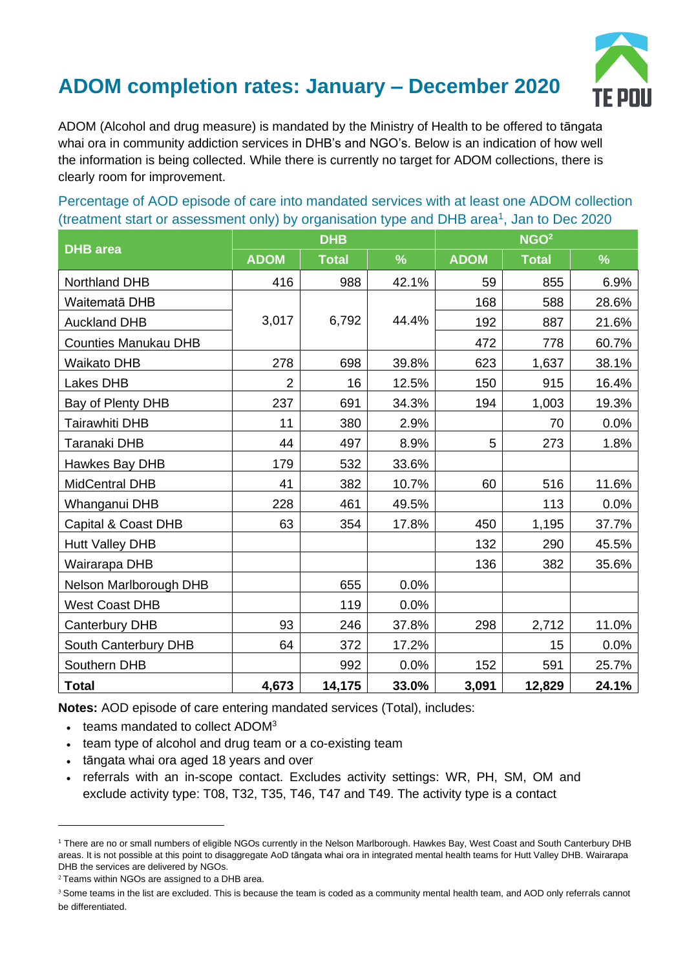## **ADOM completion rates: January – December 2020**



ADOM (Alcohol and drug measure) is mandated by the Ministry of Health to be offered to tāngata whai ora in community addiction services in DHB's and NGO's. Below is an indication of how well the information is being collected. While there is currently no target for ADOM collections, there is clearly room for improvement.

Percentage of AOD episode of care into mandated services with at least one ADOM collection (treatment start or assessment only) by organisation type and DHB area<sup>1</sup>, Jan to Dec 2020

| <b>DHB</b> area             | DHB            |              |       | NGO <sup>2</sup> |              |       |
|-----------------------------|----------------|--------------|-------|------------------|--------------|-------|
|                             | <b>ADOM</b>    | <b>Total</b> | $\%$  | <b>ADOM</b>      | <b>Total</b> | $\%$  |
| Northland DHB               | 416            | 988          | 42.1% | 59               | 855          | 6.9%  |
| Waitematā DHB               |                |              |       | 168              | 588          | 28.6% |
| <b>Auckland DHB</b>         | 3,017          | 6,792        | 44.4% | 192              | 887          | 21.6% |
| <b>Counties Manukau DHB</b> |                |              |       | 472              | 778          | 60.7% |
| <b>Waikato DHB</b>          | 278            | 698          | 39.8% | 623              | 1,637        | 38.1% |
| Lakes DHB                   | $\overline{2}$ | 16           | 12.5% | 150              | 915          | 16.4% |
| Bay of Plenty DHB           | 237            | 691          | 34.3% | 194              | 1,003        | 19.3% |
| Tairawhiti DHB              | 11             | 380          | 2.9%  |                  | 70           | 0.0%  |
| Taranaki DHB                | 44             | 497          | 8.9%  | 5                | 273          | 1.8%  |
| Hawkes Bay DHB              | 179            | 532          | 33.6% |                  |              |       |
| <b>MidCentral DHB</b>       | 41             | 382          | 10.7% | 60               | 516          | 11.6% |
| Whanganui DHB               | 228            | 461          | 49.5% |                  | 113          | 0.0%  |
| Capital & Coast DHB         | 63             | 354          | 17.8% | 450              | 1,195        | 37.7% |
| <b>Hutt Valley DHB</b>      |                |              |       | 132              | 290          | 45.5% |
| Wairarapa DHB               |                |              |       | 136              | 382          | 35.6% |
| Nelson Marlborough DHB      |                | 655          | 0.0%  |                  |              |       |
| <b>West Coast DHB</b>       |                | 119          | 0.0%  |                  |              |       |
| Canterbury DHB              | 93             | 246          | 37.8% | 298              | 2,712        | 11.0% |
| South Canterbury DHB        | 64             | 372          | 17.2% |                  | 15           | 0.0%  |
| Southern DHB                |                | 992          | 0.0%  | 152              | 591          | 25.7% |
| <b>Total</b>                | 4,673          | 14,175       | 33.0% | 3,091            | 12,829       | 24.1% |

**Notes:** AOD episode of care entering mandated services (Total), includes:

- teams mandated to collect ADOM<sup>3</sup>
- team type of alcohol and drug team or a co-existing team
- tāngata whai ora aged 18 years and over
- referrals with an in-scope contact. Excludes activity settings: WR, PH, SM, OM and exclude activity type: T08, T32, T35, T46, T47 and T49. The activity type is a contact

<sup>1</sup> There are no or small numbers of eligible NGOs currently in the Nelson Marlborough. Hawkes Bay, West Coast and South Canterbury DHB areas. It is not possible at this point to disaggregate AoD tāngata whai ora in integrated mental health teams for Hutt Valley DHB. Wairarapa DHB the services are delivered by NGOs.

 $2$  Teams within NGOs are assigned to a DHB area.

<sup>&</sup>lt;sup>3</sup> Some teams in the list are excluded. This is because the team is coded as a community mental health team, and AOD only referrals cannot be differentiated.